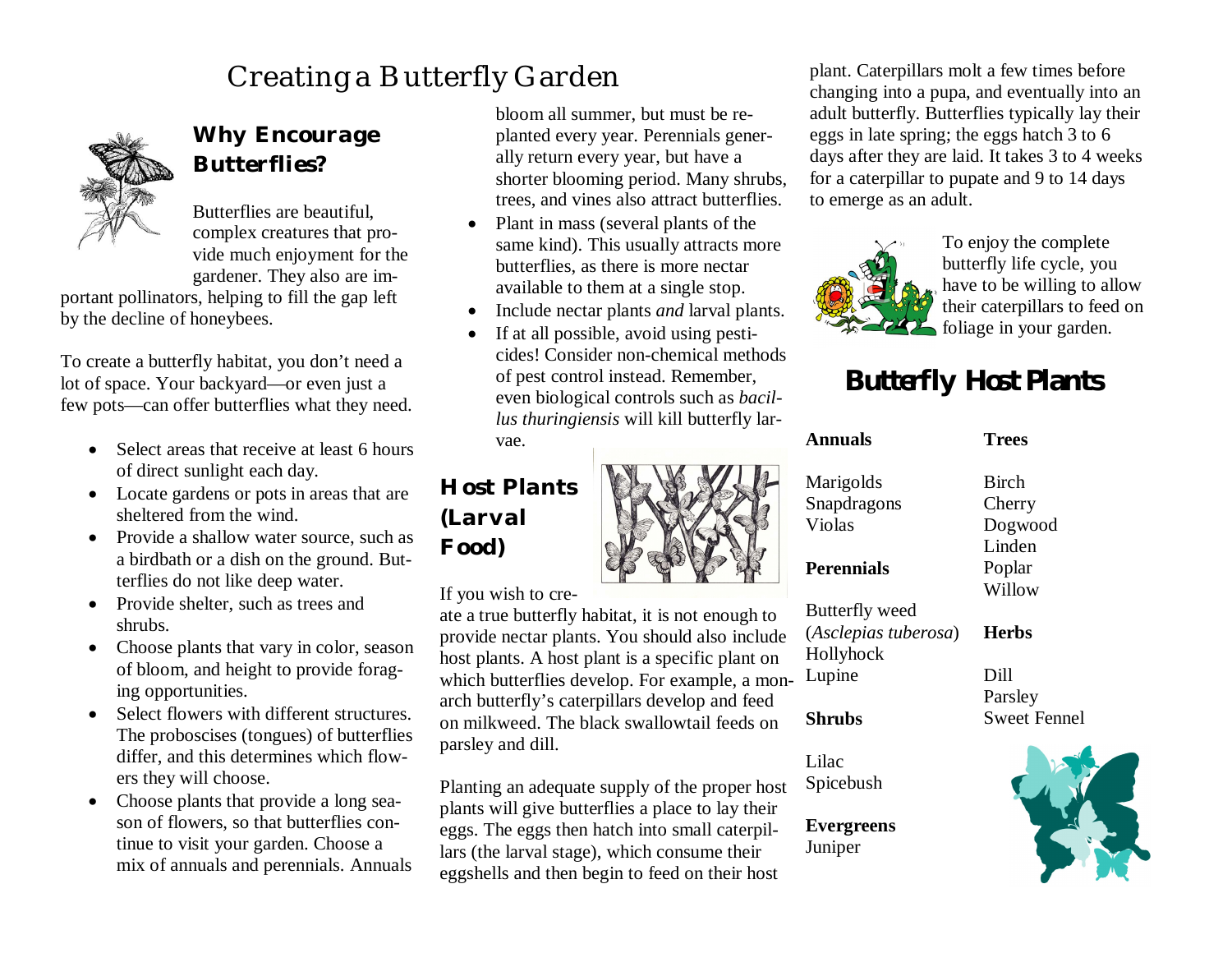# Creating a Butterfly Garden



### *Why Encourage Butterflies?*

Butterflies are beautiful, complex creatures that provide much enjoyment for the gardener. They also are im-

portant pollinators, helping to fill the gap left by the decline of honeybees.

To create a butterfly habitat, you don't need a lot of space. Your backyard—or even just a few pots—can offer butterflies what they need.

- Select areas that receive at least 6 hours of direct sunlight each day.
- Locate gardens or pots in areas that are sheltered from the wind.
- Provide a shallow water source, such as a birdbath or a dish on the ground. Butterflies do not like deep water.
- Provide shelter, such as trees and shrubs.
- Choose plants that vary in color, season of bloom, and height to provide foraging opportunities.
- Select flowers with different structures. The proboscises (tongues) of butterflies differ, and this determines which flowers they will choose.
- Choose plants that provide a long season of flowers, so that butterflies continue to visit your garden. Choose a mix of annuals and perennials. Annuals

bloom all summer, but must be replanted every year. Perennials generally return every year, but have a shorter blooming period. Many shrubs, trees, and vines also attract butterflies.

- Plant in mass (several plants of the same kind). This usually attracts more butterflies, as there is more nectar available to them at a single stop.
- Include nectar plants *and* larval plants.
- If at all possible, avoid using pesticides! Consider non-chemical methods of pest control instead. Remember, even biological controls such as *bacillus thuringiensis* will kill butterfly lar-

vae.

## *Host Plants (Larval Food)*

If you wish to cre-

ate a true butterfly habitat, it is not enough to provide nectar plants. You should also inclu host plants. A host plant is a specific plant on which butterflies develop. For example, a m arch butterfly's caterpillars develop and feed on milkweed. The black swallowtail feeds o parsley and dill.

Planting an adequate supply of the proper host plants will give butterflies a place to lay their eggs. The eggs then hatch into small caterpillars (the larval stage), which consume their eggshells and then begin to feed on their host plant. Caterpillars molt a few times before changing into a pupa, and eventually into an adult butterfly. Butterflies typically lay their eggs in late spring; the eggs hatch 3 to 6 days after they are laid. It takes 3 to 4 weeks for a caterpillar to pupate and 9 to 14 days to emerge as an adult.



To enjoy the complete butterfly life cycle, you have to be willing to allow their caterpillars to feed on foliage in your garden.

# **Butterfly Host Plants**

|      | <b>Annuals</b>       | <b>Trees</b>        |
|------|----------------------|---------------------|
|      | Marigolds            | <b>Birch</b>        |
|      | Snapdragons          | Cherry              |
| 1    | Violas               | Dogwood             |
|      |                      | Linden              |
|      | <b>Perennials</b>    | Poplar              |
|      |                      | Willow              |
| İΟ   | Butterfly weed       |                     |
| ıde  | (Asclepias tuberosa) | <b>Herbs</b>        |
| οn   | Hollyhock            |                     |
| ion- | Lupine               | Dill                |
| d    |                      | Parsley             |
| 'n   | <b>Shrubs</b>        | <b>Sweet Fennel</b> |
|      |                      |                     |
|      | Lilac                |                     |
| ost  | Spicebush            |                     |

#### **Evergreens** Juniper